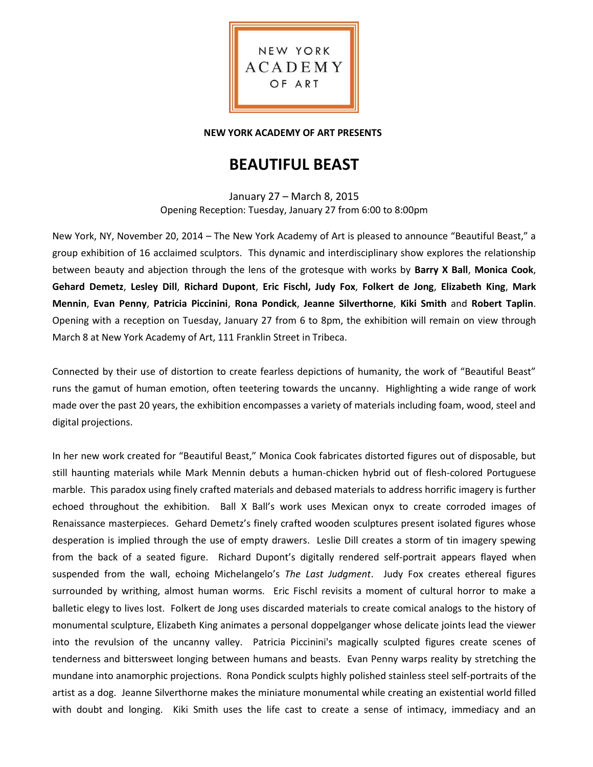

## **NEW YORK ACADEMY OF ART PRESENTS**

# **BEAUTIFUL BEAST**

January 27 – March 8, 2015 Opening Reception: Tuesday, January 27 from 6:00 to 8:00pm

New York, NY, November 20, 2014 – The New York Academy of Art is pleased to announce "Beautiful Beast," a group exhibition of 16 acclaimed sculptors. This dynamic and interdisciplinary show explores the relationship between beauty and abjection through the lens of the grotesque with works by **Barry X Ball**, **Monica Cook**, **Gehard Demetz**, **Lesley Dill**, **Richard Dupont**, **Eric Fischl, Judy Fox**, **Folkert de Jong**, **Elizabeth King**, **Mark Mennin**, **Evan Penny**, **Patricia Piccinini**, **Rona Pondick**, **Jeanne Silverthorne**, **Kiki Smith** and **Robert Taplin**. Opening with a reception on Tuesday, January 27 from 6 to 8pm, the exhibition will remain on view through March 8 at New York Academy of Art, 111 Franklin Street in Tribeca.

Connected by their use of distortion to create fearless depictions of humanity, the work of "Beautiful Beast" runs the gamut of human emotion, often teetering towards the uncanny. Highlighting a wide range of work made over the past 20 years, the exhibition encompasses a variety of materials including foam, wood, steel and digital projections.

In her new work created for "Beautiful Beast," Monica Cook fabricates distorted figures out of disposable, but still haunting materials while Mark Mennin debuts a human-chicken hybrid out of flesh-colored Portuguese marble. This paradox using finely crafted materials and debased materials to address horrific imagery is further echoed throughout the exhibition. Ball X Ball's work uses Mexican onyx to create corroded images of Renaissance masterpieces. Gehard Demetz's finely crafted wooden sculptures present isolated figures whose desperation is implied through the use of empty drawers. Leslie Dill creates a storm of tin imagery spewing from the back of a seated figure. Richard Dupont's digitally rendered self-portrait appears flayed when suspended from the wall, echoing Michelangelo's *The Last Judgment*. Judy Fox creates ethereal figures surrounded by writhing, almost human worms. Eric Fischl revisits a moment of cultural horror to make a balletic elegy to lives lost. Folkert de Jong uses discarded materials to create comical analogs to the history of monumental sculpture, Elizabeth King animates a personal doppelganger whose delicate joints lead the viewer into the revulsion of the uncanny valley. Patricia Piccinini's magically sculpted figures create scenes of tenderness and bittersweet longing between humans and beasts. Evan Penny warps reality by stretching the mundane into anamorphic projections. Rona Pondick sculpts highly polished stainless steel self-portraits of the artist as a dog. Jeanne Silverthorne makes the miniature monumental while creating an existential world filled with doubt and longing. Kiki Smith uses the life cast to create a sense of intimacy, immediacy and an